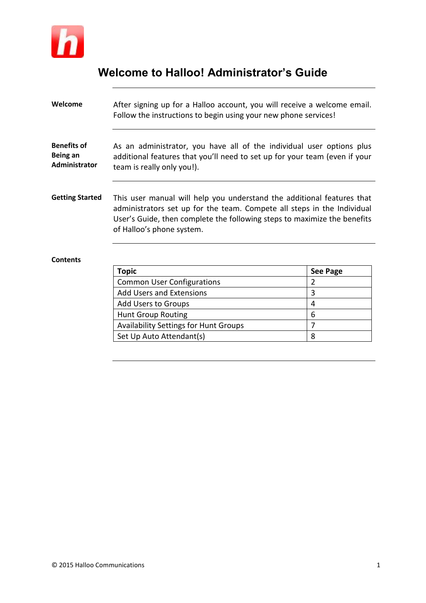

# **Welcome to Halloo! Administrator's Guide**

| Welcome                                         | After signing up for a Halloo account, you will receive a welcome email.<br>Follow the instructions to begin using your new phone services!                                                                                                                |                 |  |  |
|-------------------------------------------------|------------------------------------------------------------------------------------------------------------------------------------------------------------------------------------------------------------------------------------------------------------|-----------------|--|--|
| <b>Benefits of</b><br>Being an<br>Administrator | As an administrator, you have all of the individual user options plus<br>additional features that you'll need to set up for your team (even if your<br>team is really only you!).                                                                          |                 |  |  |
| <b>Getting Started</b>                          | This user manual will help you understand the additional features that<br>administrators set up for the team. Compete all steps in the Individual<br>User's Guide, then complete the following steps to maximize the benefits<br>of Halloo's phone system. |                 |  |  |
| <b>Contents</b>                                 |                                                                                                                                                                                                                                                            |                 |  |  |
|                                                 | <b>Topic</b>                                                                                                                                                                                                                                               | <b>See Page</b> |  |  |
|                                                 | <b>Common User Configurations</b>                                                                                                                                                                                                                          | $\overline{2}$  |  |  |
|                                                 | <b>Add Users and Extensions</b>                                                                                                                                                                                                                            | 3               |  |  |
|                                                 | Add Users to Groups                                                                                                                                                                                                                                        | 4               |  |  |
|                                                 | <b>Hunt Group Routing</b>                                                                                                                                                                                                                                  | 6               |  |  |

Availability Settings for Hunt Groups 7<br>Set Up Auto Attendant(s) 8

Set Up Auto Attendant(s)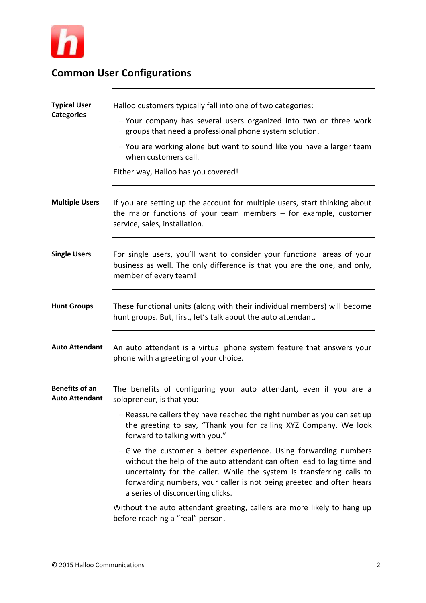

| <b>Common User Configurations</b> |  |  |  |
|-----------------------------------|--|--|--|
|-----------------------------------|--|--|--|

| <b>Typical User</b>                            | Halloo customers typically fall into one of two categories:                                                                                                                                                                                                                                                                      |
|------------------------------------------------|----------------------------------------------------------------------------------------------------------------------------------------------------------------------------------------------------------------------------------------------------------------------------------------------------------------------------------|
| <b>Categories</b>                              | - Your company has several users organized into two or three work<br>groups that need a professional phone system solution.                                                                                                                                                                                                      |
|                                                | - You are working alone but want to sound like you have a larger team<br>when customers call.                                                                                                                                                                                                                                    |
|                                                | Either way, Halloo has you covered!                                                                                                                                                                                                                                                                                              |
| <b>Multiple Users</b>                          | If you are setting up the account for multiple users, start thinking about<br>the major functions of your team members $-$ for example, customer<br>service, sales, installation.                                                                                                                                                |
| <b>Single Users</b>                            | For single users, you'll want to consider your functional areas of your<br>business as well. The only difference is that you are the one, and only,<br>member of every team!                                                                                                                                                     |
| <b>Hunt Groups</b>                             | These functional units (along with their individual members) will become<br>hunt groups. But, first, let's talk about the auto attendant.                                                                                                                                                                                        |
| <b>Auto Attendant</b>                          | An auto attendant is a virtual phone system feature that answers your<br>phone with a greeting of your choice.                                                                                                                                                                                                                   |
| <b>Benefits of an</b><br><b>Auto Attendant</b> | The benefits of configuring your auto attendant, even if you are a<br>solopreneur, is that you:                                                                                                                                                                                                                                  |
|                                                | - Reassure callers they have reached the right number as you can set up<br>the greeting to say, "Thank you for calling XYZ Company. We look<br>forward to talking with you."                                                                                                                                                     |
|                                                | - Give the customer a better experience. Using forwarding numbers<br>without the help of the auto attendant can often lead to lag time and<br>uncertainty for the caller. While the system is transferring calls to<br>forwarding numbers, your caller is not being greeted and often hears<br>a series of disconcerting clicks. |
|                                                | Without the auto attendant greeting, callers are more likely to hang up<br>before reaching a "real" person.                                                                                                                                                                                                                      |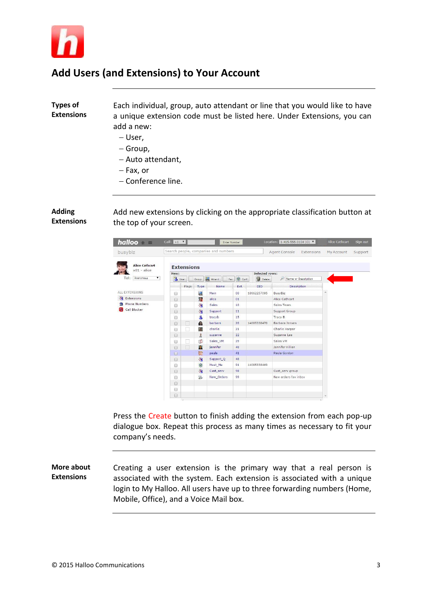

# **Add Users (and Extensions) to Your Account**

### **Types of Extensions**

Each individual, group, auto attendant or line that you would like to have a unique extension code must be listed here. Under Extensions, you can add a new:

- User,
- Group,
- Auto attendant,
- $-$  Fax, or
- Conference line.

### **Adding Extensions**

Add new extensions by clicking on the appropriate classification button at the top of your screen.



Press the Create button to finish adding the extension from each pop-up dialogue box. Repeat this process as many times as necessary to fit your company's needs.

**More about Extensions** Creating a user extension is the primary way that a real person is associated with the system. Each extension is associated with a unique login to My Halloo. All users have up to three forwarding numbers (Home, Mobile, Office), and a Voice Mail box.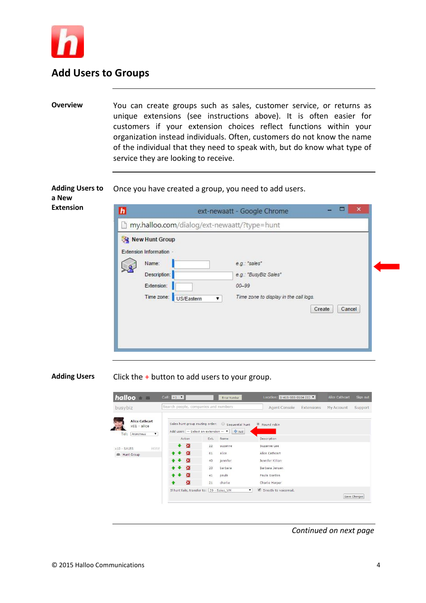

## **Add Users to Groups**

**Overview** You can create groups such as sales, customer service, or returns as unique extensions (see instructions above). It is often easier for customers if your extension choices reflect functions within your organization instead individuals. Often, customers do not know the name of the individual that they need to speak with, but do know what type of service they are looking to receive.

**Adding Users to**  Once you have created a group, you need to add users.

**a New Extension**

| Once you have created a group, you need to add users |  |
|------------------------------------------------------|--|
|------------------------------------------------------|--|

| New Hunt Group                                                                             |                                                                                                                         |
|--------------------------------------------------------------------------------------------|-------------------------------------------------------------------------------------------------------------------------|
| Extension Information -<br>Name:<br>Description:<br>Extension:<br>Time zone:<br>US/Eastern | e.g.: "sales"<br>e.g.: "BusyBiz Sales"<br>$00 - 99$<br>Time zone to display in the call logs.<br>۷.<br>Create<br>Cancel |

**Adding Users** Click the + button to add users to your group.

| busybiz                                                                     |                     | Search people, companies and numbers                                                       |      |                          | Agent Console                 | Extensions | My Account | Support      |
|-----------------------------------------------------------------------------|---------------------|--------------------------------------------------------------------------------------------|------|--------------------------|-------------------------------|------------|------------|--------------|
| <b>Alice Cathcart</b><br>$x01 - alice$<br>Tel:<br>Anonymous<br>$\mathbf{v}$ |                     | Sales hunt group routing order:<br>Add user: $-$ Select an extension $ \blacktriangledown$ |      | Sequential hunt<br>中 Add | $\circledcirc$<br>Round robin |            |            |              |
|                                                                             |                     | Action                                                                                     | Ext. | Name                     | Description                   |            |            |              |
| MORE<br>$x10 - SALES$                                                       | $\bullet$           | $\mathbf{K}$                                                                               | 22   | suzanne                  | Suzanne Lee                   |            |            |              |
| Hunt Group<br>趣                                                             | $\bullet$ $\bullet$ | $\mathbf{X}$                                                                               | 01   | alice                    | Alice Cathcart                |            |            |              |
|                                                                             |                     | ×                                                                                          | 40   | jennifer                 | Jennifer Killian              |            |            |              |
|                                                                             |                     | ×                                                                                          | 20   | barbara                  | Barbara Jensen                |            |            |              |
|                                                                             | $\bullet$ $\bullet$ | ×                                                                                          | 41   | paula                    | Paula Gordon                  |            |            |              |
|                                                                             | ÷                   | ×                                                                                          | 21   | charlie                  | Charlie Harper                |            |            |              |
|                                                                             |                     | If hunt fails, transfer to:   29 - Sales_VM                                                |      | $\mathbf{v}$             | Directly to voicemail.        |            |            |              |
|                                                                             |                     |                                                                                            |      |                          |                               |            |            | Save Changes |

*Continued on next page*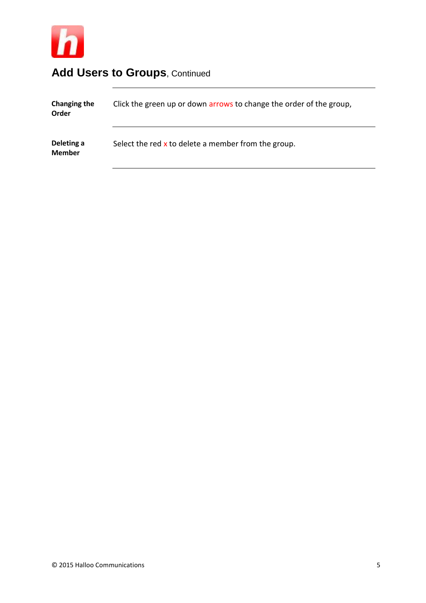

# Add Users to Groups, Continued

| <b>Changing the</b><br>Order | Click the green up or down arrows to change the order of the group, |
|------------------------------|---------------------------------------------------------------------|
| Deleting a<br><b>Member</b>  | Select the red $x$ to delete a member from the group.               |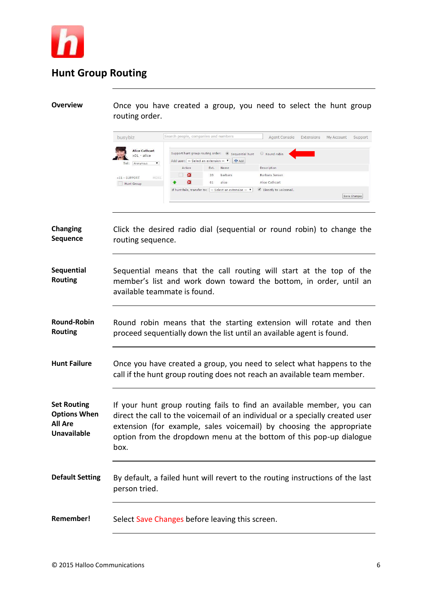

# **Hunt Group Routing**

**Overview** Once you have created a group, you need to select the hunt group routing order.

| busybiz                                                                       | Search people, companies and numbers                                                                     |      |          | Agent Console          | Extensions | My Account | Support      |
|-------------------------------------------------------------------------------|----------------------------------------------------------------------------------------------------------|------|----------|------------------------|------------|------------|--------------|
| <b>Alice Cathcart</b><br>$x01 - alice$<br>Tel:<br>Anonymous<br>$\blacksquare$ | Support hunt group routing order: . Sequential hunt<br>Add user: $\boxed{-}$ Select an extension $-\top$ |      | $44$ Add | Round robin            |            |            |              |
|                                                                               | Action                                                                                                   | Ext. | Name     | Description            |            |            |              |
| MORE<br>x11 - SUPPORT                                                         | ×                                                                                                        | 20   | barbara  | Barbara Jensen         |            |            |              |
| Hunt Group                                                                    | ×                                                                                                        | 01   | alice    | Alice Cathcart         |            |            |              |
|                                                                               | If hunt fails, transfer to: $\vert$ - Select an extension - $\vert \cdot \vert$                          |      |          | Directly to voicemail. |            |            |              |
|                                                                               |                                                                                                          |      |          |                        |            |            | Save Changes |

| Changing<br>Sequence                                                              | Click the desired radio dial (sequential or round robin) to change the<br>routing sequence.                                                                                                                                                                                                                   |
|-----------------------------------------------------------------------------------|---------------------------------------------------------------------------------------------------------------------------------------------------------------------------------------------------------------------------------------------------------------------------------------------------------------|
| Sequential<br><b>Routing</b>                                                      | Sequential means that the call routing will start at the top of the<br>member's list and work down toward the bottom, in order, until an<br>available teammate is found.                                                                                                                                      |
| <b>Round-Robin</b><br><b>Routing</b>                                              | Round robin means that the starting extension will rotate and then<br>proceed sequentially down the list until an available agent is found.                                                                                                                                                                   |
| <b>Hunt Failure</b>                                                               | Once you have created a group, you need to select what happens to the<br>call if the hunt group routing does not reach an available team member.                                                                                                                                                              |
| <b>Set Routing</b><br><b>Options When</b><br><b>All Are</b><br><b>Unavailable</b> | If your hunt group routing fails to find an available member, you can<br>direct the call to the voicemail of an individual or a specially created user<br>extension (for example, sales voicemail) by choosing the appropriate<br>option from the dropdown menu at the bottom of this pop-up dialogue<br>box. |
| <b>Default Setting</b>                                                            | By default, a failed hunt will revert to the routing instructions of the last<br>person tried.                                                                                                                                                                                                                |
| Remember!                                                                         | Select Save Changes before leaving this screen.                                                                                                                                                                                                                                                               |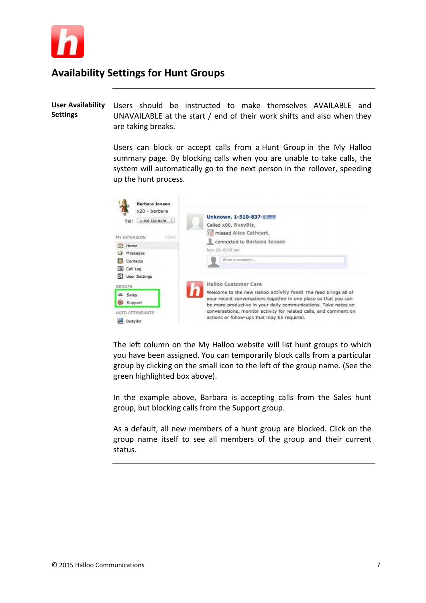

## **Availability Settings for Hunt Groups**

**User Availability Settings** Users should be instructed to make themselves AVAILABLE and UNAVAILABLE at the start / end of their work shifts and also when they are taking breaks.

> Users can block or accept calls from a Hunt Group in the My Halloo summary page. By blocking calls when you are unable to take calls, the system will automatically go to the next person in the rollover, speeding up the hunt process.

| <b>Barbara Jensen</b><br>x20 - barbara                                  |                                                                                                                                                                                    |
|-------------------------------------------------------------------------|------------------------------------------------------------------------------------------------------------------------------------------------------------------------------------|
| $1-400-533-0470$ .<br>Tel:<br>MY EXTENSION<br>MORE                      | Unknown, 1-510-837-1<br>Called x00, BusyBiz,<br>missed Alice Cathcart,                                                                                                             |
| fat Home<br>Messages<br>Contacts<br>Call Log<br><b>St User Settings</b> | connected to Barbara Jensen<br>Nov 29, 8:09 pm<br>Write a comment                                                                                                                  |
| <b>GROUPS</b><br><b>JBL</b> Sales                                       | Halloo Customer Care<br>Welcome to the new Halloo activity feed! The feed brings all of<br>your recent conversations together in one place so that you can                         |
| 60<br>Support<br>AUTO ATTENDANTS<br>BusyBiz                             | be more productive in your daily communications. Take notes on<br>conversations, monitor activity for related calls, and comment on<br>actions or follow-ups that may be required. |

The left column on the My Halloo website will list hunt groups to which you have been assigned. You can temporarily block calls from a particular group by clicking on the small icon to the left of the group name. (See the green highlighted box above).

In the example above, Barbara is accepting calls from the Sales hunt group, but blocking calls from the Support group.

As a default, all new members of a hunt group are blocked. Click on the group name itself to see all members of the group and their current status.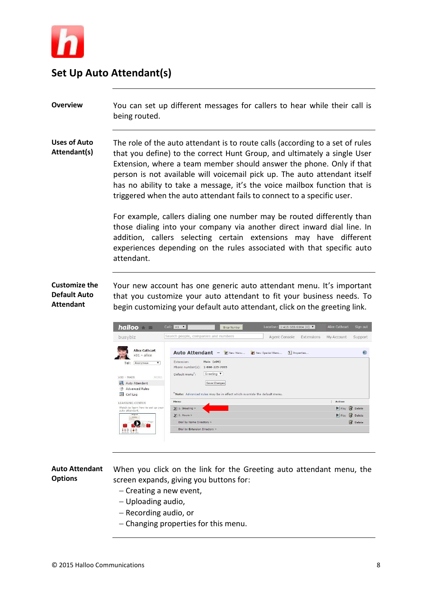

## **Set Up Auto Attendant(s)**

**Overview** You can set up different messages for callers to hear while their call is being routed.

**Uses of Auto Attendant(s)** The role of the auto attendant is to route calls (according to a set of rules that you define) to the correct Hunt Group, and ultimately a single User Extension, where a team member should answer the phone. Only if that person is not available will voicemail pick up. The auto attendant itself has no ability to take a message, it's the voice mailbox function that is triggered when the auto attendant fails to connect to a specific user.

> For example, callers dialing one number may be routed differently than those dialing into your company via another direct inward dial line. In addition, callers selecting certain extensions may have different experiences depending on the rules associated with that specific auto attendant.

**Customize the Default Auto Attendant**

Your new account has one generic auto attendant menu. It's important that you customize your auto attendant to fit your business needs. To begin customizing your default auto attendant, click on the greeting link.



#### **Auto Attendant Options** When you click on the link for the Greeting auto attendant menu, the screen expands, giving you buttons for:

- $-$  Creating a new event,
- Uploading audio,
- Recording audio, or
- Changing properties for this menu.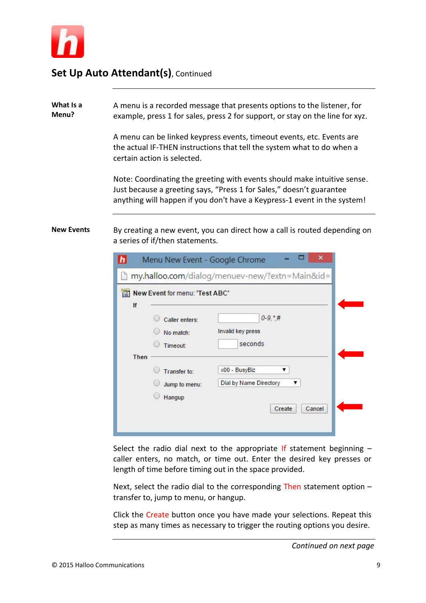

## **Set Up Auto Attendant(s)**, Continued

**What Is a Menu?** A menu is a recorded message that presents options to the listener, for example, press 1 for sales, press 2 for support, or stay on the line for xyz.

> A menu can be linked keypress events, timeout events, etc. Events are the actual IF-THEN instructions that tell the system what to do when a certain action is selected.

Note: Coordinating the greeting with events should make intuitive sense. Just because a greeting says, "Press 1 for Sales," doesn't guarantee anything will happen if you don't have a Keypress-1 event in the system!

**New Events** By creating a new event, you can direct how a call is routed depending on a series of if/then statements.

|      |                                         | my.halloo.com/dialog/menuev-new/?extn=Main&id=              |
|------|-----------------------------------------|-------------------------------------------------------------|
|      | New Event for menu: 'Test ABC'          |                                                             |
| If   | Caller enters:<br>No match:<br>Timeout: | $0-9, *, #$<br>Invalid key press<br>seconds                 |
| Then | Transfer to:<br>Jump to menu:<br>Hangup | x00 - BusyBiz<br>Dial by Name Directory<br>Create<br>Cancel |

Select the radio dial next to the appropriate If statement beginning  $$ caller enters, no match, or time out. Enter the desired key presses or length of time before timing out in the space provided.

Next, select the radio dial to the corresponding Then statement option  $$ transfer to, jump to menu, or hangup.

Click the Create button once you have made your selections. Repeat this step as many times as necessary to trigger the routing options you desire.

*Continued on next page*